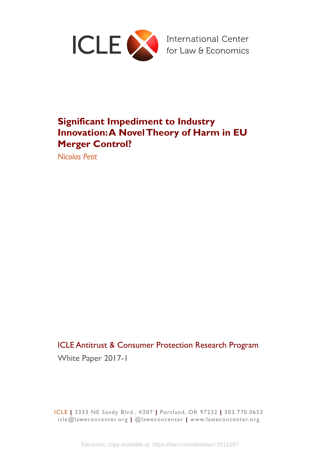

# Significant Impediment to Industry Innovation: A Novel Theory of Harm in EU Merger Control?

Nicolas Petit

ICLE Antitrust & Consumer Protection Research Program White Paper 2017-1

ICLE | 3333 NE Sandy Blvd., #207 | Portland, OR 97232 | 503.770.0652 icle@laweconcenter.org | @laweconcenter | www.laweconcenter.org

Electronic copy available at: https://ssrn.com/abstract=2911597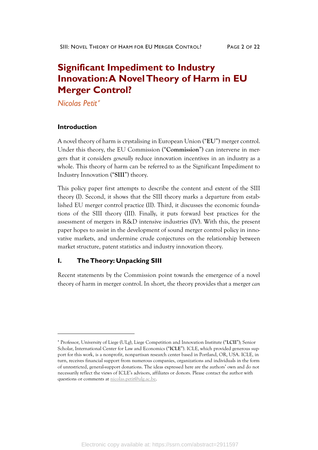# Significant Impediment to Industry Innovation: A Novel Theory of Harm in EU Merger Control?

Nicolas Petit

## Introduction

-

A novel theory of harm is crystalising in European Union ("EU") merger control. Under this theory, the EU Commission ("Commission") can intervene in mergers that it considers generally reduce innovation incentives in an industry as a whole. This theory of harm can be referred to as the Significant Impediment to Industry Innovation ("SIII") theory.

This policy paper first attempts to describe the content and extent of the SIII theory (I). Second, it shows that the SIII theory marks a departure from established EU merger control practice (II). Third, it discusses the economic foundations of the SIII theory (III). Finally, it puts forward best practices for the assessment of mergers in R&D intensive industries (IV). With this, the present paper hopes to assist in the development of sound merger control policy in innovative markets, and undermine crude conjectures on the relationship between market structure, patent statistics and industry innovation theory.

## I. The Theory: Unpacking SIII

Recent statements by the Commission point towards the emergence of a novel theory of harm in merger control. In short, the theory provides that a merger can

 Professor, University of Liege (ULg), Liege Competition and Innovation Institute ("LCII"); Senior Scholar, International Center for Law and Economics ("ICLE"). ICLE, which provided generous support for this work, is a nonprofit, nonpartisan research center based in Portland, OR, USA. ICLE, in turn, receives financial support from numerous companies, organizations and individuals in the form of unrestricted, general-support donations. The ideas expressed here are the authors' own and do not necessarily reflect the views of ICLE's advisors, affiliates or donors. Please contact the author with questions or comments at nicolas.petit@ulg.ac.be.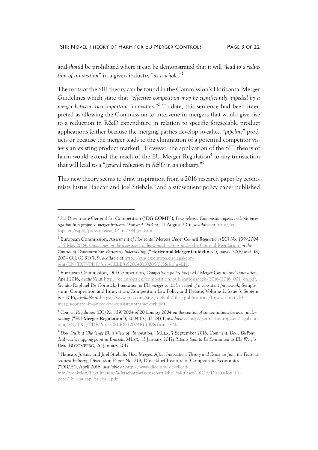and should be prohibited where it can be demonstrated that it will "lead to a reduction of innovation" in a given industry "as a whole."<sup>1</sup>

The roots of the SIII theory can be found in the Commission's Horizontal Merger Guidelines which state that "effective competition may be significantly impeded by a merger between two important innovators."<sup>2</sup> To date, this sentence had been interpreted as allowing the Commission to intervene in mergers that would give rise to a reduction in R&D expenditure in relation to specific foreseeable product applications (either because the merging parties develop so-called "pipeline" products or because the merger leads to the elimination of a potential competitor visà-vis an existing product market).<sup>3</sup> However, the application of the SIII theory of harm would extend the reach of the EU Merger Regulation<sup>4</sup> to any transaction that will lead to a "general reduction in  $R\mathscr{B}D$  in an industry."<sup>5</sup>

This new theory seems to draw inspiration from a 2016 research paper by economists Justus Haucap and Joel Stiebale,<sup>6</sup> and a subsequent policy paper published

<sup>&</sup>lt;sup>1</sup> See Directorate-General for Competition ("DG COMP"), Press release: Commission opens in-depth investigation into proposed merger between Dow and DuPont, 11 August 2016, available at http://europa.eu/rapid/press-release\_IP-16-2784\_en.htm.

<sup>&</sup>lt;sup>2</sup> European Commission, Assessment of Horizontal Mergers Under Council Regulation (EC) No. 139/2004 of 5 May 2004, Guidelines on the assessment of horizontal mergers under the Council Regulation on the Control of Concentrations Between Undertakings ("Horizontal Merger Guidelines"), paras. 20(b) and 38, 2004 O.J. (C 31) 7, 9, available at http://eur-lex.europa.eu/legal-content/EN/TXT/PDF/?uri=CELEX:52004XC0205(02)&from=EN.

<sup>&</sup>lt;sup>3</sup> European Commission, DG Competition, Competition policy brief: EU Merger Control and Innovation, April 2016, available at http://ec.europa.eu/competition/publications/cpb/2016/2016\_001\_en.pdf. See also Raphaël De Coninck, Innovation in EU merger control: in need of a consistent framework, Symposium: Competition and Innovation, Competition Law Policy and Debate, Volume 2, Issue 3, September 2016, available at https://www.crai.com/sites/default/files/publications/Innovation-in-EUmerger-control-in-a-need-of-a-consistent-framework.pdf.

<sup>4</sup> Council Regulation (EC) No 139/2004 of 20 January 2004 on the control of concentrations between undertakings ("EU Merger Regulation"), 2004 O.J. (L 24) 1, available at http://eur-lex.europa.eu/legal-content/EN/TXT/PDF/?uri=CELEX:32004R0139&from=EN.

<sup>5</sup> Dow DuPont Challenge EU's View of "Innovation," MLEX, 7 September 2016; Comment: Dow, DuPont deal reaches tipping point in Brussels, MLEX, 13 January 2017; Patents Said to Be Scrutinized as EU Weighs Deal, BLOOMBERG, 26 January 2017.

 $^6$  Haucap, Justus, and Joel Stiebale, How Mergers Affect Innovation: Theory and Evidence from the Pharmaceutical Industry, Discussion Paper No. 218, Düsseldorf Institute of Competition Economics ("DICE"), April 2016, available at http://www.dice.hhu.de/filead-

min/redaktion/Fakultaeten/Wirtschaftswissenschaftliche\_Fakultaet/DICE/Discussion\_Paper/218\_Haucap\_Stiebale.pdf.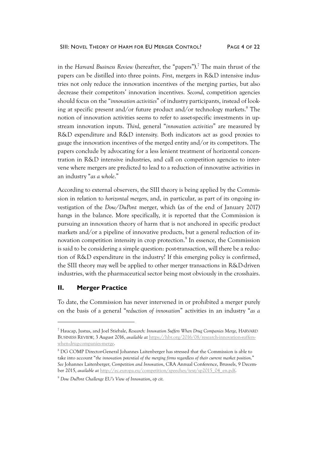in the Harvard Business Review (hereafter, the "papers").<sup>7</sup> The main thrust of the papers can be distilled into three points. First, mergers in R&D intensive industries not only reduce the innovation incentives of the merging parties, but also decrease their competitors' innovation incentives. Second, competition agencies should focus on the "innovation activities" of industry participants, instead of looking at specific present and/or future product and/or technology markets.<sup>8</sup> The notion of innovation activities seems to refer to asset-specific investments in upstream innovation inputs. Third, general "innovation activities" are measured by R&D expenditure and R&D intensity. Both indicators act as good proxies to gauge the innovation incentives of the merged entity and/or its competitors. The papers conclude by advocating for a less lenient treatment of horizontal concentration in R&D intensive industries, and call on competition agencies to intervene where mergers are predicted to lead to a reduction of innovative activities in an industry "as a whole."

According to external observers, the SIII theory is being applied by the Commission in relation to horizontal mergers, and, in particular, as part of its ongoing investigation of the Dow/DuPont merger, which (as of the end of January 2017) hangs in the balance. More specifically, it is reported that the Commission is pursuing an innovation theory of harm that is not anchored in specific product markets and/or a pipeline of innovative products, but a general reduction of innovation competition intensity in crop protection.<sup>9</sup> In essence, the Commission is said to be considering a simple question: post-transaction, will there be a reduction of R&D expenditure in the industry? If this emerging policy is confirmed, the SIII theory may well be applied to other merger transactions in R&D-driven industries, with the pharmaceutical sector being most obviously in the crosshairs.

## II. Merger Practice

-

To date, the Commission has never intervened in or prohibited a merger purely on the basis of a general "reduction of innovation" activities in an industry "as a

<sup>&</sup>lt;sup>7</sup> Haucap, Justus, and Joel Stiebale, Research: Innovation Suffers When Drug Companies Merge, HARVARD BUSINESS REVIEW, 3 August 2016, available at https://hbr.org/2016/08/research-innovation-sufferswhen-drug-companies-merge.

<sup>8</sup> DG COMP Director-General Johannes Laitenberger has stressed that the Commission is able to take into account "the innovation potential of the merging firms regardless of their current market position." See Johannes Laitenberger, Competition and Innovation, CRA Annual Conference, Brussels, 9 December 2015, available at http://ec.europa.eu/competition/speeches/text/sp2015\_04\_en.pdf.

 $9$  Dow DuPont Challenge EU's View of Innovation, op cit.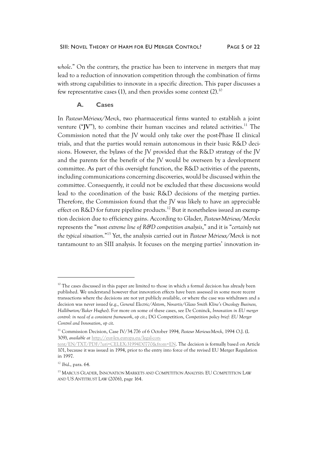whole." On the contrary, the practice has been to intervene in mergers that may lead to a reduction of innovation competition through the combination of firms with strong capabilities to innovate in a specific direction. This paper discusses a few representative cases (1), and then provides some context  $(2)$ .<sup>10</sup>

#### A. Cases

In Pasteur-Mérieux/Merck, two pharmaceutical firms wanted to establish a joint venture ("JV"), to combine their human vaccines and related activities.<sup>11</sup> The Commission noted that the JV would only take over the post-Phase II clinical trials, and that the parties would remain autonomous in their basic R&D decisions. However, the bylaws of the JV provided that the R&D strategy of the JV and the parents for the benefit of the JV would be overseen by a development committee. As part of this oversight function, the R&D activities of the parents, including communications concerning discoveries, would be discussed within the committee. Consequently, it could not be excluded that these discussions would lead to the coordination of the basic R&D decisions of the merging parties. Therefore, the Commission found that the JV was likely to have an appreciable effect on  $R&D$  for future pipeline products.<sup>12</sup> But it nonetheless issued an exemption decision due to efficiency gains. According to Glader, Pasteur-Mérieux/Merckx represents the "most extreme line of R&D competition analysis," and it is "certainly not the typical situation."<sup>13</sup> Yet, the analysis carried out in Pasteur Mérieux/Merck is not tantamount to an SIII analysis. It focuses on the merging parties' innovation in-

 $10$  The cases discussed in this paper are limited to those in which a formal decision has already been published. We understand however that innovation effects have been assessed in some more recent transactions where the decisions are not yet publicly available, or where the case was withdrawn and a decision was never issued (e.g., General Electric/Alstom, Novartis/Glaxo Smith Kline's Oncology Business, Halliburton/Baker Hughes). For more on some of these cases, see De Coninck, Innovation in EU merger control: in need of a consistent framework, op cit.; DG Competition, Competition policy brief: EU Merger Control and Innovation, op cit.

<sup>&</sup>lt;sup>11</sup> Commission Decision, Case IV/34.776 of 6 October 1994, Pasteur Merieux-Merck, 1994 O.J. (L 309), available at http://eur-lex.europa.eu/legal-con-

tent/EN/TXT/PDF/?uri=CELEX:31994D0770&from=EN. The decision is formally based on Article 101, because it was issued in 1994, prior to the entry into force of the revised EU Merger Regulation in 1997.

 $12$  Ibid., para. 64.

<sup>13</sup> MARCUS GLADER, INNOVATION MARKETS AND COMPETITION ANALYSIS: EU COMPETITION LAW AND US ANTITRUST LAW (2006), page 164.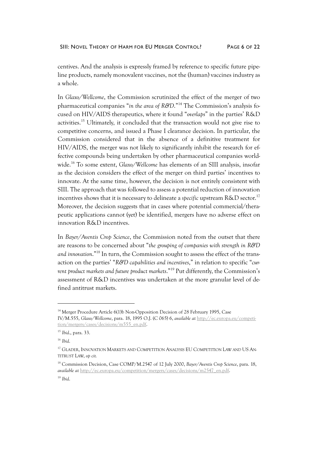centives. And the analysis is expressly framed by reference to specific future pipeline products, namely monovalent vaccines, not the (human) vaccines industry as a whole.

In Glaxo/Wellcome, the Commission scrutinized the effect of the merger of two pharmaceutical companies "in the area of R&D."14 The Commission's analysis focused on HIV/AIDS therapeutics, where it found "overlaps" in the parties' R&D activities.<sup>15</sup> Ultimately, it concluded that the transaction would not give rise to competitive concerns, and issued a Phase I clearance decision. In particular, the Commission considered that in the absence of a definitive treatment for HIV/AIDS, the merger was not likely to significantly inhibit the research for effective compounds being undertaken by other pharmaceutical companies worldwide.<sup>16</sup> To some extent, Glaxo/Wellcome has elements of an SIII analysis, insofar as the decision considers the effect of the merger on third parties' incentives to innovate. At the same time, however, the decision is not entirely consistent with SIII. The approach that was followed to assess a potential reduction of innovation incentives shows that it is necessary to delineate a specific upstream  $R&D$  sector.<sup>17</sup> Moreover, the decision suggests that in cases where potential commercial/therapeutic applications cannot (yet) be identified, mergers have no adverse effect on innovation R&D incentives.

In Bayer/Aventis Crop Science, the Commission noted from the outset that there are reasons to be concerned about "the grouping of companies with strength in R&D and innovation."<sup>18</sup> In turn, the Commission sought to assess the effect of the transaction on the parties' "R&D capabilities and incentives," in relation to specific "current product markets and future product markets."<sup>19</sup> Put differently, the Commission's assessment of R&D incentives was undertaken at the more granular level of defined antitrust markets.

<sup>&</sup>lt;sup>14</sup> Merger Procedure Article 6(1)b Non-Opposition Decision of 28 February 1995, Case IV/M.555, Glaxo/Wellcome, para. 18, 1995 O.J. (C 065) 6, available at http://ec.europa.eu/competi-

tion/mergers/cases/decisions/m555\_en.pdf.

<sup>15</sup> Ibid., para. 33.

 $16$  Ibid.

<sup>17</sup> GLADER, INNOVATION MARKETS AND COMPETITION ANALYSIS EU COMPETITION LAW AND US AN-TITRUST LAW, op cit.

<sup>&</sup>lt;sup>18</sup> Commission Decision, Case COMP/M.2547 of 12 July 2000, Bayer/Aventis Crop Science, para. 18, available at http://ec.europa.eu/competition/mergers/cases/decisions/m2547\_en.pdf.

 $19$  Ibid.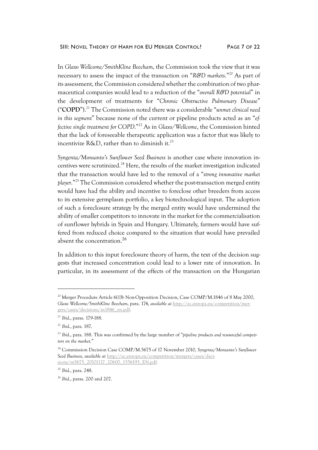In Glaxo Wellcome/SmithKline Beecham, the Commission took the view that it was necessary to assess the impact of the transaction on "R&D markets."<sup>20</sup> As part of its assessment, the Commission considered whether the combination of two pharmaceutical companies would lead to a reduction of the "overall R&D potential" in the development of treatments for "Chronic Obstructive Pulmonary Disease" ("COPD").<sup>21</sup> The Commission noted there was a considerable "unmet clinical need in this segment" because none of the current or pipeline products acted as an "effective single treatment for COPD."<sup>22</sup> As in Glaxo/Wellcome, the Commission hinted that the lack of foreseeable therapeutic application was a factor that was likely to incentivize  $R&D$ , rather than to diminish it.<sup>23</sup>

Syngenta/Monsanto's Sunflower Seed Business is another case where innovation incentives were scrutinized.<sup>24</sup> Here, the results of the market investigation indicated that the transaction would have led to the removal of a "strong innovative market player."<sup>25</sup> The Commission considered whether the post-transaction merged entity would have had the ability and incentive to foreclose other breeders from access to its extensive germplasm portfolio, a key biotechnological input. The adoption of such a foreclosure strategy by the merged entity would have undermined the ability of smaller competitors to innovate in the market for the commercialisation of sunflower hybrids in Spain and Hungary. Ultimately, farmers would have suffered from reduced choice compared to the situation that would have prevailed absent the concentration. 26

In addition to this input foreclosure theory of harm, the text of the decision suggests that increased concentration could lead to a lower rate of innovation. In particular, in its assessment of the effects of the transaction on the Hungarian

<sup>&</sup>lt;sup>20</sup> Merger Procedure Article 6(1)b Non-Opposition Decision, Case COMP/M.1846 of 8 May 2000, Glaxo Wellcome/SmithKline Beecham, para. 174, available at http://ec.europa.eu/competition/mergers/cases/decisions/m1846\_en.pdf.

<sup>21</sup> Ibid., paras. 179-188.

<sup>22</sup> Ibid., para. 187.

<sup>&</sup>lt;sup>23</sup> Ibid., para. 188. This was confirmed by the large number of "pipeline products and resourceful competitors on the market."

<sup>&</sup>lt;sup>24</sup> Commission Decision Case COMP/M.5675 of 17 November 2010, Syngenta/Monsanto's Sunflower Seed Business, available at http://ec.europa.eu/competition/mergers/cases/decisions/m5675\_20101117\_20600\_1556193\_EN.pdf.

<sup>25</sup> Ibid., para. 248.

<sup>26</sup> Ibid., paras. 200 and 207.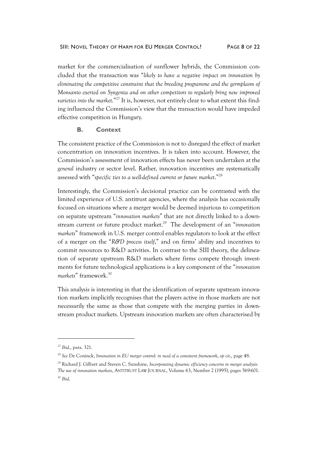market for the commercialisation of sunflower hybrids, the Commission concluded that the transaction was "likely to have a negative impact on innovation by eliminating the competitive constraint that the breeding programme and the germplasm of Monsanto exerted on Syngenta and on other competitors to regularly bring new improved varieties into the market."<sup>27</sup> It is, however, not entirely clear to what extent this finding influenced the Commission's view that the transaction would have impeded effective competition in Hungary.

#### B. Context

The consistent practice of the Commission is not to disregard the effect of market concentration on innovation incentives. It is taken into account. However, the Commission's assessment of innovation effects has never been undertaken at the general industry or sector level. Rather, innovation incentives are systematically assessed with "specific ties to a well-defined current or future market." $^{28}$ 

Interestingly, the Commission's decisional practice can be contrasted with the limited experience of U.S. antitrust agencies, where the analysis has occasionally focused on situations where a merger would be deemed injurious to competition on separate upstream "innovation markets" that are not directly linked to a downstream current or future product market.<sup>29</sup> The development of an "innovation markets" framework in U.S. merger control enables regulators to look at the effect of a merger on the "R&D process itself," and on firms' ability and incentives to commit resources to R&D activities. In contrast to the SIII theory, the delineation of separate upstream R&D markets where firms compete through investments for future technological applications is a key component of the "innovation markets" framework.<sup>30</sup>

This analysis is interesting in that the identification of separate upstream innovation markets implicitly recognises that the players active in those markets are not necessarily the same as those that compete with the merging parties in downstream product markets. Upstream innovation markets are often characterised by

<sup>27</sup> Ibid., para. 321.

<sup>&</sup>lt;sup>28</sup> See De Coninck, Innovation in EU merger control: in need of a consistent framework, op cit., page 48.

<sup>&</sup>lt;sup>29</sup> Richard J. Gilbert and Steven C. Sunshine, Incorporating dynamic efficiency concerns in merger analysis: The use of innovation markets, ANTITRUST LAW JOURNAL, Volume 63, Number 2 (1995), pages 569-601.  $30$  Ibid.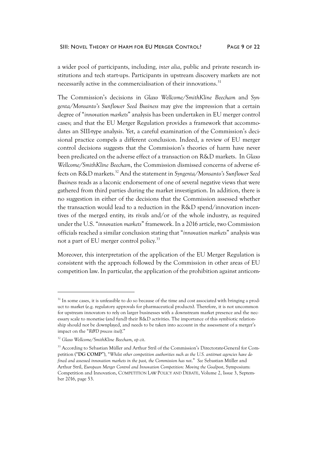a wider pool of participants, including, inter alia, public and private research institutions and tech start-ups. Participants in upstream discovery markets are not necessarily active in the commercialisation of their innovations.<sup>31</sup>

The Commission's decisions in Glaxo Wellcome/SmithKline Beecham and Syngenta/Monsanto's Sunflower Seed Business may give the impression that a certain degree of "innovation markets" analysis has been undertaken in EU merger control cases; and that the EU Merger Regulation provides a framework that accommodates an SIII-type analysis. Yet, a careful examination of the Commission's decisional practice compels a different conclusion. Indeed, a review of EU merger control decisions suggests that the Commission's theories of harm have never been predicated on the adverse effect of a transaction on R&D markets. In Glaxo Wellcome/SmithKline Beecham, the Commission dismissed concerns of adverse effects on R&D markets.<sup>32</sup> And the statement in Syngenta/Monsanto's Sunflower Seed Business reads as a laconic endorsement of one of several negative views that were gathered from third parties during the market investigation. In addition, there is no suggestion in either of the decisions that the Commission assessed whether the transaction would lead to a reduction in the R&D spend/innovation incentives of the merged entity, its rivals and/or of the whole industry, as required under the U.S. "innovation markets" framework. In a 2016 article, two Commission officials reached a similar conclusion stating that "innovation markets" analysis was not a part of EU merger control policy.<sup>33</sup>

Moreover, this interpretation of the application of the EU Merger Regulation is consistent with the approach followed by the Commission in other areas of EU competition law. In particular, the application of the prohibition against anticom-

<sup>&</sup>lt;sup>31</sup> In some cases, it is unfeasible to do so because of the time and cost associated with bringing a product to market (e.g. regulatory approvals for pharmaceutical products). Therefore, it is not uncommon for upstream innovators to rely on larger businesses with a downstream market presence and the necessary scale to monetise (and fund) their R&D activities. The importance of this symbiotic relationship should not be downplayed, and needs to be taken into account in the assessment of a merger's impact on the "R&D process itself."

<sup>32</sup> Glaxo Wellcome/SmithKline Beecham, op cit.

<sup>&</sup>lt;sup>33</sup> According to Sebastian Müller and Arthur Stril of the Commission's Directorate-General for Competition ("DG COMP"), "Whilst other competition authorities such as the U.S. antitrust agencies have defined and assessed innovation markets in the past, the Commission has not." See Sebastian Müller and Arthur Stril, European Merger Control and Innovation Competition: Moving the Goalpost, Symposium: Competition and Innovation, COMPETITION LAW POLICY AND DEBATE, Volume 2, Issue 3, September 2016, page 53.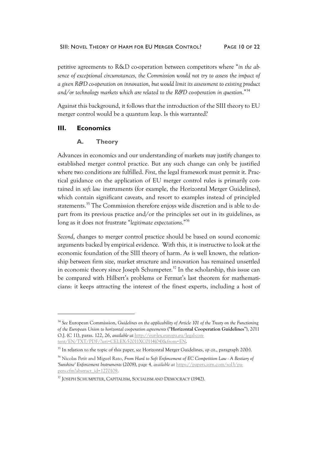petitive agreements to R&D co-operation between competitors where "in the absence of exceptional circumstances, the Commission would not try to assess the impact of a given R&D co-operation on innovation, but would limit its assessment to existing product and/or technology markets which are related to the R&D co-operation in question."<sup>34</sup>

Against this background, it follows that the introduction of the SIII theory to EU merger control would be a quantum leap. Is this warranted?

## III. Economics

-

## A. Theory

Advances in economics and our understanding of markets may justify changes to established merger control practice. But any such change can only be justified where two conditions are fulfilled. First, the legal framework must permit it. Practical guidance on the application of EU merger control rules is primarily contained in soft law instruments (for example, the Horizontal Merger Guidelines), which contain significant caveats, and resort to examples instead of principled statements.<sup>35</sup> The Commission therefore enjoys wide discretion and is able to depart from its previous practice and/or the principles set out in its guidelines, as long as it does not frustrate "legitimate expectations."<sup>36</sup>

Second, changes to merger control practice should be based on sound economic arguments backed by empirical evidence. With this, it is instructive to look at the economic foundation of the SIII theory of harm. As is well known, the relationship between firm size, market structure and innovation has remained unsettled in economic theory since Joseph Schumpeter.<sup>37</sup> In the scholarship, this issue can be compared with Hilbert's problems or Fermat's last theorem for mathematicians: it keeps attracting the interest of the finest experts, including a host of

 $34$  See European Commission, Guidelines on the applicability of Article 101 of the Treaty on the Functioning of the European Union to horizontal cooperation agreements ("Horizontal Cooperation Guidelines"), 2011 O.J. (C 11), paras. 122, 26, available at http://eur-lex.europa.eu/legal-content/EN/TXT/PDF/?uri=CELEX:52011XC0114(04)&from=EN.

<sup>&</sup>lt;sup>35</sup> In relation to the topic of this paper, see Horizontal Merger Guidelines, op cit., paragraph 20(b).

<sup>&</sup>lt;sup>36</sup> Nicolas Petit and Miguel Rato, From Hard to Soft Enforcement of EC Competition Law - A Bestiary of 'Sunshine' Enforcement Instruments (2008), page 4, available at https://papers.ssrn.com/sol3/papers.cfm?abstract\_id=1270109.

<sup>37</sup> JOSEPH SCHUMPETER, CAPITALISM, SOCIALISM AND DEMOCRACY (1942).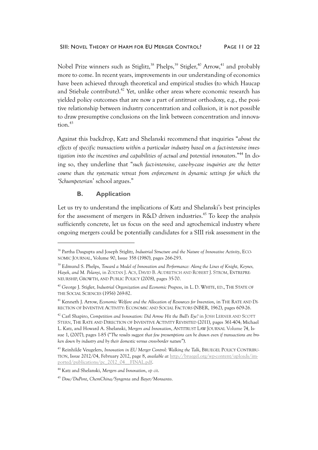Nobel Prize winners such as Stiglitz,<sup>38</sup> Phelps,<sup>39</sup> Stigler,<sup>40</sup> Arrow,<sup>41</sup> and probably more to come. In recent years, improvements in our understanding of economics have been achieved through theoretical and empirical studies (to which Haucap and Stiebale contribute).<sup>42</sup> Yet, unlike other areas where economic research has yielded policy outcomes that are now a part of antitrust orthodoxy, e.g., the positive relationship between industry concentration and collusion, it is not possible to draw presumptive conclusions on the link between concentration and innovation.<sup>43</sup>

Against this backdrop, Katz and Shelanski recommend that inquiries "about the effects of specific transactions within a particular industry based on a fact-intensive investigation into the incentives and capabilities of actual and potential innovators."<sup>44</sup> In doing so, they underline that "such fact-intensive, case-by-case inquiries are the better course than the systematic retreat from enforcement in dynamic settings for which the 'Schumpeterian' school argues."

#### B. Application

-

Let us try to understand the implications of Katz and Shelanski's best principles for the assessment of mergers in R&D driven industries.<sup>45</sup> To keep the analysis sufficiently concrete, let us focus on the seed and agrochemical industry where ongoing mergers could be potentially candidates for a SIII risk assessment in the

<sup>&</sup>lt;sup>38</sup> Partha Dasgupta and Joseph Stiglitz, Industrial Structure and the Nature of Innovative Activity, ECO-NOMIC JOURNAL, Volume 90, Issue 358 (1980), pages 266-293.

<sup>&</sup>lt;sup>39</sup> Edmund S. Phelps, Toward a Model of Innovation and Performance: Along the Lines of Knight, Keynes, Hayek, and M. Polanyi, in ZOLTAN J. ACS, DAVID B. AUDRETSCH AND ROBERT J. STROM, ENTREPRE-NEURSHIP, GROWTH, AND PUBLIC POLICY (2008), pages 35-70.

<sup>&</sup>lt;sup>40</sup> George J. Stigler, Industrial Organization and Economic Progress, in L. D. WHITE, ED., THE STATE OF THE SOCIAL SCIENCES (1956) 269-82.

<sup>&</sup>lt;sup>41</sup> Kenneth J. Arrow, Economic Welfare and the Allocation of Resources for Invention, in THE RATE AND DI-RECTION OF INVENTIVE ACTIVITY: ECONOMIC AND SOCIAL FACTORS (NBER, 1962), pages 609-26.

<sup>&</sup>lt;sup>42</sup> Carl Shapiro, Competition and Innovation: Did Arrow Hit the Bull's Eye? in JOSH LERNER AND SCOTT STERN, THE RATE AND DIRECTION OF INVENTIVE ACTIVITY REVISITED (2011), pages 361-404; Michael L. Katz, and Howard A. Shelanski, Mergers and Innovation, ANTITRUST LAW JOURNAL Volume 74, Issue 1, (2007), pages 1-85 ("The results suggest that few presumptions can be drawn even if transactions are broken down by industry and by their domestic versus cross-border nature").

<sup>&</sup>lt;sup>43</sup> Reinhilde Veugelers, Innovation in EU Merger Control: Walking the Talk, BRUEGEL POLICY CONTRIBU-TION, Issue 2012/04, February 2012, page 8, available at http://bruegel.org/wp-content/uploads/imported/publications/pc\_2012\_04\_\_FINAL.pdf.

<sup>44</sup> Katz and Shelanski, Mergers and Innovation, op cit.

<sup>45</sup> Dow/DuPont, ChemChina/Syngenta and Bayer/Monsanto.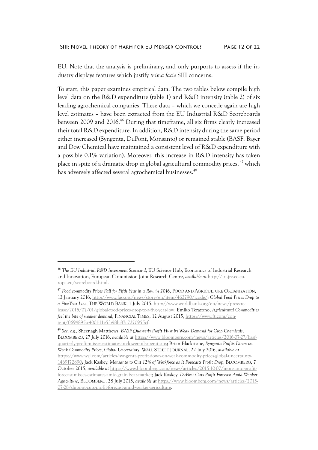EU. Note that the analysis is preliminary, and only purports to assess if the industry displays features which justify prima facie SIII concerns.

To start, this paper examines empirical data. The two tables below compile high level data on the R&D expenditure (table 1) and R&D intensity (table 2) of six leading agrochemical companies. These data – which we concede again are high level estimates – have been extracted from the EU Industrial R&D Scoreboards between 2009 and 2016.<sup>46</sup> During that timeframe, all six firms clearly increased their total R&D expenditure. In addition, R&D intensity during the same period either increased (Syngenta, DuPont, Monsanto) or remained stable (BASF, Bayer and Dow Chemical have maintained a consistent level of R&D expenditure with a possible 0.1% variation). Moreover, this increase in R&D intensity has taken place in spite of a dramatic drop in global agricultural commodity prices,<sup>47</sup> which has adversely affected several agrochemical businesses.<sup>48</sup>

<sup>&</sup>lt;sup>46</sup> The EU Industrial R&D Investment Scorecard, EU Science Hub, Economics of Industrial Research and Innovation, European Commission Joint Research Centre, available at http://iri.jrc.ec.europa.eu/scoreboard.html.

<sup>&</sup>lt;sup>47</sup> Food commodity Prices Fall for Fifth Year in a Row in 2016, FOOD AND AGRICULTURE ORGANIZATION, 12 January 2016, http://www.fao.org/news/story/en/item/462790/icode/; Global Food Prices Drop to a Five-Year Low, THE WORLD BANK, 1 July 2015, http://www.worldbank.org/en/news/press-release/2015/07/01/global-food-prices-drop-to-a-five-year-low; Emiko Terazono, Agricultural Commodities feel the bite of weaker demand, FINANCIAL TIMES, 12 August 2015, https://www.ft.com/content/0694895a-400f-11e5-b98b-87c7270955cf.

<sup>&</sup>lt;sup>48</sup> See, e.g., Sheenagh Matthews, BASF Quarterly Profit Hurt by Weak Demand for Crop Chemicals, BLOOMBERG, 27 July 2016, available at https://www.bloomberg.com/news/articles/2016-07-27/basfquarterly-profit-misses-estimates-on-lower-oil-operations; Brian Blackstone, Syngenta Profits Down on Weak Commodity Prices, Global Uncertainty, WALL STREET JOURNAL, 22 July 2016, available at https://www.wsj.com/articles/syngenta-profit-down-on-weak-commodity-prices-global-uncertainty-1469172890; Jack Kaskey, Monsanto to Cut 12% of Workforce as It Forecasts Profit Drop, BLOOMBERG, 7 October 2015, available at https://www.bloomberg.com/news/articles/2015-10-07/monsanto-profitforecast-misses-estimates-amid-grain-bear-market; Jack Kaskey, DuPont Cuts Profit Forecast Amid Weaker Agriculture, BLOOMBERG, 28 July 2015, available at https://www.bloomberg.com/news/articles/2015- 07-28/dupont-cuts-profit-forecast-amid-weaker-agriculture.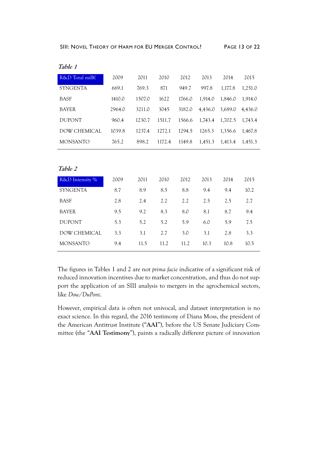| Table 1                    |        |        |        |        |         |         |         |
|----------------------------|--------|--------|--------|--------|---------|---------|---------|
| <b>R&amp;D</b> Total mill€ | 2009   | 2011   | 2010   | 2012   | 2013    | 2014    | 2015    |
| <b>SYNGENTA</b>            | 669.1  | 769.3  | 871    | 949.7  | 997.8   | 1,177.8 | 1,251.0 |
| <b>BASF</b>                | 1410.0 | 1507.0 | 1622   | 1766.0 | 1,914.0 | 1,846.0 | 1,914.0 |
| <b>BAYER</b>               | 2964.0 | 3211.0 | 3045   | 3182.0 | 4,436.0 | 3,689.0 | 4,436.0 |
| <b>DUPONT</b>              | 960.4  | 1230.7 | 1511.7 | 1566.6 | 1,743.4 | 1,702.5 | 1,743.4 |
| DOW CHEMICAL               | 1039.8 | 1237.4 | 1272.1 | 1294.5 | 1265.3  | 1,356.6 | 1,467.8 |
| <b>MONSANTO</b>            | 765.2  | 898.2  | 1172.4 | 1149.8 | 1,451.3 | 1,413.4 | 1,451.3 |
|                            |        |        |        |        |         |         |         |
| Table 2                    |        |        |        |        |         |         |         |
| R&D Intensity %            | 2009   | 2011   | 2010   | 2012   | 2013    | 2014    | 2015    |
| <b>SYNGENTA</b>            | 8.7    | 8.9    | 8.5    | 8.8    | 9.4     | 9.4     | 10.2    |
| <b>BASF</b>                | 2.8    | 2.4    | 2.2    | 2.2    | 2.5     | 2.5     | 2.7     |
| <b>BAYER</b>               | 9.5    | 9.2    | 8.3    | 8.0    | 8.1     | 8.7     | 9.4     |
| <b>DUPONT</b>              | 5.3    | 5.2    | 5.2    | 5.9    | 6.0     | 5.9     | 7.5     |
| DOW CHEMICAL               | 3.3    | 3.1    | 2.7    | 3.0    | 3.1     | 2.8     | 3.3     |
| <b>MONSANTO</b>            | 9.4    | 11.5   | 11.2   | 11.2   | 10.3    | 10.8    | 10.5    |

The figures in Tables 1 and 2 are not prima facie indicative of a significant risk of reduced innovation incentives due to market concentration, and thus do not support the application of an SIII analysis to mergers in the agrochemical sectors, like Dow/DuPont.

However, empirical data is often not univocal, and dataset interpretation is no exact science. In this regard, the 2016 testimony of Diana Moss, the president of the American Antitrust Institute ("AAI"), before the US Senate Judiciary Committee (the "AAI Testimony"), paints a radically different picture of innovation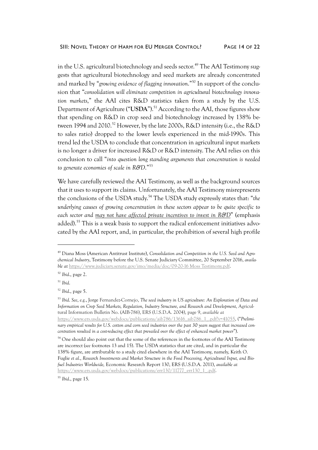in the U.S. agricultural biotechnology and seeds sector.<sup>49</sup> The AAI Testimony suggests that agricultural biotechnology and seed markets are already concentrated and marked by "growing evidence of flagging innovation."50 In support of the conclusion that "consolidation will eliminate competition in agricultural biotechnology innovation markets," the AAI cites R&D statistics taken from a study by the U.S. Department of Agriculture ("USDA").<sup>51</sup> According to the AAI, those figures show that spending on R&D in crop seed and biotechnology increased by 138% between 1994 and 2010.<sup>52</sup> However, by the late 2000s, R&D intensity (i.e., the R&D to sales ratio) dropped to the lower levels experienced in the mid-1990s. This trend led the USDA to conclude that concentration in agricultural input markets is no longer a driver for increased R&D or R&D intensity. The AAI relies on this conclusion to call "into question long standing arguments that concentration is needed to generate economies of scale in  $R\mathcal{B}D$ ."<sup>53</sup>

We have carefully reviewed the AAI Testimony, as well as the background sources that it uses to support its claims. Unfortunately, the AAI Testimony misrepresents the conclusions of the USDA study.<sup>54</sup> The USDA study expressly states that: "the underlying causes of growing concentration in these sectors appear to be quite specific to each sector and may not have affected private incentives to invest in R&D" (emphasis added).<sup>55</sup> This is a weak basis to support the radical enforcement initiatives advocated by the AAI report, and, in particular, the prohibition of several high profile

<sup>49</sup> Diana Moss (American Antitrust Institute), Consolidation and Competition in the U.S. Seed and Agrochemical Industry, Testimony before the U.S. Senate Judiciary Committee, 20 September 2016, available at https://www.judiciary.senate.gov/imo/media/doc/09-20-16 Moss Testimony.pdf.

<sup>50</sup> Ibid., page 2.

<sup>51</sup> Ibid.

 $52$  Ibid., page 5.

<sup>&</sup>lt;sup>53</sup> Ibid. See, e.g., Jorge Fernandez-Cornejo, The seed industry in US agriculture: An Exploration of Data and Information on Crop Seed Markets, Regulation, Industry Structure, and Research and Development, Agricultural Information Bulletin No. (AIB-786), ERS (U.S.D.A. 2004), page 9, available at https://www.ers.usda.gov/webdocs/publications/aib786/13616\_aib786\_1\_.pdf?v=41055, ("Preliminary empirical results for U.S. cotton and corn seed industries over the past 30 years suggest that increased con-

centration resulted in a cost-reducing effect that prevailed over the effect of enhanced market power"). <sup>54</sup> One should also point out that the some of the references in the footnotes of the AAI Testimony are incorrect (see footnotes 13 and 15). The USDA statistics that are cited, and in particular the 138% figure, are attributable to a study cited elsewhere in the AAI Testimony, namely, Keith O. Fuglie et al., Research Investments and Market Structure in the Food Processing, Agricultural Input, and Bio-

fuel Industries Worldwide, Economic Research Report 130, ERS (U.S.D.A. 2011), available at https://www.ers.usda.gov/webdocs/publications/err130/11777\_err130\_1\_.pdf.

<sup>55</sup> Ibid., page 15.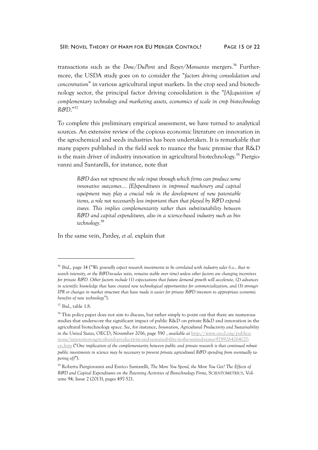transactions such as the  $Dow/Du$ Pont and Bayer/Monsanto mergers.<sup>56</sup> Furthermore, the USDA study goes on to consider the "factors driving consolidation and concentration" in various agricultural input markets. In the crop seed and biotechnology sector, the principal factor driving consolidation is the "[A]cquisition of complementary technology and marketing assets, economics of scale in crop biotechnology  $R\mathscr{B}D$ ."<sup>57</sup>

To complete this preliminary empirical assessment, we have turned to analytical sources. An extensive review of the copious economic literature on innovation in the agrochemical and seeds industries has been undertaken. It is remarkable that many papers published in the field seek to nuance the basic premise that R&D is the main driver of industry innovation in agricultural biotechnology.<sup>58</sup> Piergiovanni and Santarelli, for instance, note that

R&D does not represent the sole input through which firms can produce some innovative outcomes…. [E]xpenditures in improved machinery and capital equipment may play a crucial role in the development of new patentable items, a role not necessarily less important than that played by R&D expenditures. This implies complementarity rather than substitutability between R&D and capital expenditures, also in a science-based industry such as biotechnology.<sup>59</sup>

In the same vein, Pardey, et al. explain that

<sup>&</sup>lt;sup>56</sup> Ibid., page 14 ("We generally expect research investments to be correlated with industry sales (i.e., that research intensity, or the R&D-to-sales ratio, remains stable over time) unless other factors are changing incentives for private R&D. Other factors include (1) expectations that future demand growth will accelerate, (2) advances in scientific knowledge that have created new technological opportunities for commercialization, and (3) stronger IPR or changes in market structure that have made it easier for private R&D investors to appropriate economic benefits of new technology").

<sup>57</sup> Ibid., table 1.8.

<sup>&</sup>lt;sup>58</sup> This policy paper does not aim to discuss, but rather simply to point out that there are numerous studies that underscore the significant impact of public R&D on private R&D and innovation in the agricultural biotechnology space. See, for instance, Innovation, Agricultural Productivity and Sustainability in the United States, OECD, November 2016, page 590 , available at http://www.oecd.org/publications/innovation-agricultural-productivity-and-sustainability-in-the-united-states-9789264264120 en.htm ("One implication of the complementarity between public and private research is that continued robust public investments in science may be necessary to prevent private agricultural R&D spending from eventually tapering off").

<sup>59</sup> Roberta Piergiovanni and Enrico Santarelli, The More You Spend, the More You Get? The Effects of R&D and Capital Expenditures on the Patenting Activities of Biotechnology Firms, SCIENTOMETRICS, Volume 94, Issue 2 (2013), pages 497-521.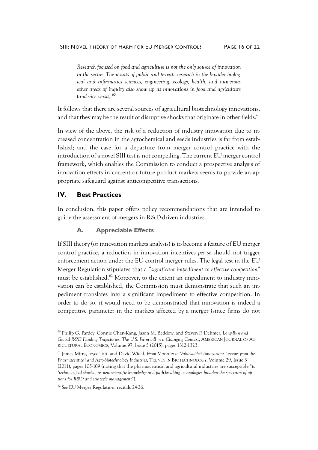Research focused on food and agriculture is not the only source of innovation in the sector. The results of public and private research in the broader biological and informatics sciences, engineering, ecology, health, and numerous other areas of inquiry also show up as innovations in food and agriculture (and vice versa). $60$ 

It follows that there are several sources of agricultural biotechnology innovations, and that they may be the result of disruptive shocks that originate in other fields.<sup>61</sup>

In view of the above, the risk of a reduction of industry innovation due to increased concentration in the agrochemical and seeds industries is far from established; and the case for a departure from merger control practice with the introduction of a novel SIII test is not compelling. The current EU merger control framework, which enables the Commission to conduct a prospective analysis of innovation effects in current or future product markets seems to provide an appropriate safeguard against anticompetitive transactions.

# IV. Best Practices

In conclusion, this paper offers policy recommendations that are intended to guide the assessment of mergers in R&D-driven industries.

## A. Appreciable Effects

If SIII theory (or innovation markets analysis) is to become a feature of EU merger control practice, a reduction in innovation incentives per se should not trigger enforcement action under the EU control merger rules. The legal test in the EU Merger Regulation stipulates that a "significant impediment to effective competition" must be established. $62$  Moreover, to the extent an impediment to industry innovation can be established, the Commission must demonstrate that such an impediment translates into a significant impediment to effective competition. In order to do so, it would need to be demonstrated that innovation is indeed a competitive parameter in the markets affected by a merger (since firms do not

<sup>60</sup> Philip G. Pardey, Connie Chan-Kang, Jason M. Beddow, and Steven P. Dehmer, Long-Run and Global R&D Funding Trajectories: The U.S. Farm bill in a Changing Context, AMERICAN JOURNAL OF AG-RICULTURAL ECONOMICS, Volume 97, Issue 5 (2015), pages 1312-1323.

<sup>&</sup>lt;sup>61</sup> James Mitra, Joyce Tait, and David Wield, From Maturity to Value-added Innovation: Lessons from the Pharmaceutical and Agro-biotechnology Industries, TRENDS IN BIOTECHNOLOGY, Volume 29, Issue 3 (2011), pages 105-109 (noting that the pharmaceutical and agricultural industries are susceptible "to 'technological shocks', as new scientific knowledge and path-breaking technologies broaden the spectrum of options for R&D and strategic management").

<sup>62</sup> See EU Merger Regulation, recitals 24-26.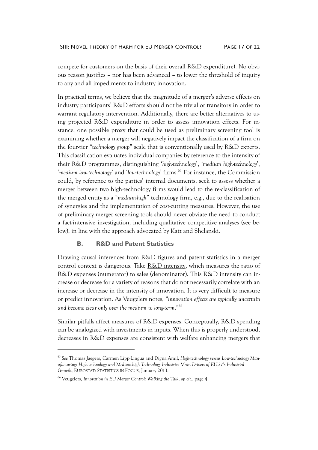compete for customers on the basis of their overall R&D expenditure). No obvious reason justifies – nor has been advanced – to lower the threshold of inquiry to any and all impediments to industry innovation.

In practical terms, we believe that the magnitude of a merger's adverse effects on industry participants' R&D efforts should not be trivial or transitory in order to warrant regulatory intervention. Additionally, there are better alternatives to using projected R&D expenditure in order to assess innovation effects. For instance, one possible proxy that could be used as preliminary screening tool is examining whether a merger will negatively impact the classification of a firm on the four-tier "technology group" scale that is conventionally used by R&D experts. This classification evaluates individual companies by reference to the intensity of their R&D programmes, distinguishing 'high-technology', 'medium high-technology', 'medium low-technology' and 'low-technology' firms. <sup>63</sup> For instance, the Commission could, by reference to the parties' internal documents, seek to assess whether a merger between two high-technology firms would lead to the re-classification of the merged entity as a "medium-high" technology firm, e.g., due to the realisation of synergies and the implementation of cost-cutting measures. However, the use of preliminary merger screening tools should never obviate the need to conduct a fact-intensive investigation, including qualitative competitive analyses (see below), in line with the approach advocated by Katz and Shelanski.

## B. R&D and Patent Statistics

Drawing causal inferences from R&D figures and patent statistics in a merger control context is dangerous. Take R&D intensity, which measures the ratio of R&D expenses (numerator) to sales (denominator). This R&D intensity can increase or decrease for a variety of reasons that do not necessarily correlate with an increase or decrease in the intensity of innovation. It is very difficult to measure or predict innovation. As Veugelers notes, "innovation effects are typically uncertain and become clear only over the medium to long-term."<sup>64</sup>

Similar pitfalls affect measures of R&D expenses. Conceptually, R&D spending can be analogized with investments in inputs. When this is properly understood, decreases in R&D expenses are consistent with welfare enhancing mergers that

<sup>&</sup>lt;sup>63</sup> See Thomas Jaegers, Carmen Lipp-Lingua and Digna Amil, High-technology versus Low-technology Manufacturing: High-technology and Medium-high Technology Industries Main Drivers of EU-27's Industrial Growth, EUROSTAT: STATISTICS IN FOCUS, January 2013.

<sup>64</sup> Veugelers, Innovation in EU Merger Control: Walking the Talk, op cit., page 4.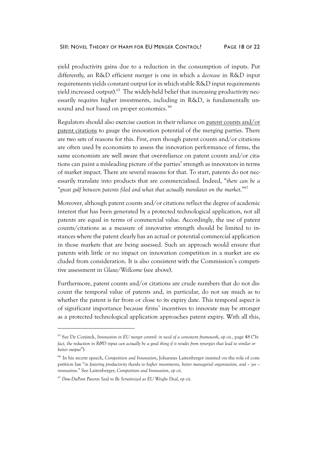yield productivity gains due to a reduction in the consumption of inputs. Put differently, an R&D efficient merger is one in which a decrease in R&D input requirements yields constant output (or in which stable R&D input requirements vield increased output).<sup>65</sup> The widely-held belief that increasing productivity necessarily requires higher investments, including in R&D, is fundamentally unsound and not based on proper economics.<sup>66</sup>

Regulators should also exercise caution in their reliance on patent counts and/or patent citations to gauge the innovation potential of the merging parties. There are two sets of reasons for this. First, even though patent counts and/or citations are often used by economists to assess the innovation performance of firms, the same economists are well aware that over-reliance on patent counts and/or citations can paint a misleading picture of the parties' strength as innovators in terms of market impact. There are several reasons for that. To start, patents do not necessarily translate into products that are commercialised. Indeed, "there can be a "great gulf between patents filed and what that actually translates on the market." $^{67}$ 

Moreover, although patent counts and/or citations reflect the degree of academic interest that has been generated by a protected technological application, not all patents are equal in terms of commercial value. Accordingly, the use of patent counts/citations as a measure of innovative strength should be limited to instances where the patent clearly has an actual or potential commercial application in those markets that are being assessed. Such an approach would ensure that patents with little or no impact on innovation competition in a market are excluded from consideration. It is also consistent with the Commission's competitive assessment in Glaxo/Wellcome (see above).

Furthermore, patent counts and/or citations are crude numbers that do not discount the temporal value of patents and, in particular, do not say much as to whether the patent is far from or close to its expiry date. This temporal aspect is of significant importance because firms' incentives to innovate may be stronger as a protected technological application approaches patent expiry. With all this,

<sup>&</sup>lt;sup>65</sup> See De Coninck, Innovation in EU merger control: in need of a consistent framework, op cit., page 48 ("In fact, the reduction in R&D input can actually be a good thing if it results from synergies that lead to similar or better output").

<sup>66</sup> In his recent speech, Competition and Innovation, Johannes Laitenberger insisted on the role of competition law "in fostering productivity thanks to higher investments, better managerial organisation, and – yes – innovation." See Laitenberger, Competition and Innovation, op cit.

 $67$  Dow-DuPont Patents Said to Be Scrutinized as EU Weighs Deal, op cit.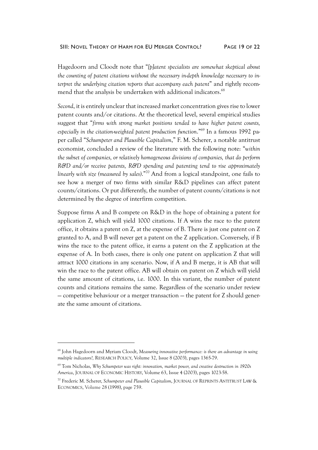Hagedoorn and Cloodt note that "[p]atent specialists are somewhat skeptical about the counting of patent citations without the necessary in-depth knowledge necessary to interpret the underlying citation reports that accompany each patent" and rightly recommend that the analysis be undertaken with additional indicators.<sup>68</sup>

Second, it is entirely unclear that increased market concentration gives rise to lower patent counts and/or citations. At the theoretical level, several empirical studies suggest that "firms with strong market positions tended to have higher patent counts, especially in the citation-weighted patent production function."<sup>69</sup> In a famous 1992 paper called "Schumpeter and Plausible Capitalism," F. M. Scherer, a notable antitrust economist, concluded a review of the literature with the following note: "within the subset of companies, or relatively homogeneous divisions of companies, that do perform R&D and/or receive patents, R&D spending and patenting tend to rise approximately linearly with size (measured by sales)."<sup>70</sup> And from a logical standpoint, one fails to see how a merger of two firms with similar R&D pipelines can affect patent counts/citations. Or put differently, the number of patent counts/citations is not determined by the degree of interfirm competition.

Suppose firms A and B compete on R&D in the hope of obtaining a patent for application Z, which will yield 1000 citations. If A wins the race to the patent office, it obtains a patent on Z, at the expense of B. There is just one patent on Z granted to A, and B will never get a patent on the Z application. Conversely, if B wins the race to the patent office, it earns a patent on the Z application at the expense of A. In both cases, there is only one patent on application Z that will attract 1000 citations in any scenario. Now, if A and B merge, it is AB that will win the race to the patent office. AB will obtain on patent on Z which will yield the same amount of citations, i.e. 1000. In this variant, the number of patent counts and citations remains the same. Regardless of the scenario under review — competitive behaviour or a merger transaction — the patent for Z should generate the same amount of citations.

<sup>&</sup>lt;sup>68</sup> John Hagedoorn and Myriam Cloodt, Measuring innovative performance: is there an advantage in using multiple indicators?, RESEARCH POLICY, Volume 32, Issue 8 (2003), pages 1365-79.

<sup>69</sup> Tom Nicholas, Why Schumpeter was right: innovation, market power, and creative destruction in 1920s America, JOURNAL OF ECONOMIC HISTORY, Volume 63, Issue 4 (2003), pages 1023-58.

<sup>70</sup> Frederic M. Scherer, Schumpeter and Plausible Capitalism, JOURNAL OF REPRINTS ANTITRUST LAW & ECONOMICS, Volume 28 (1998), page 759.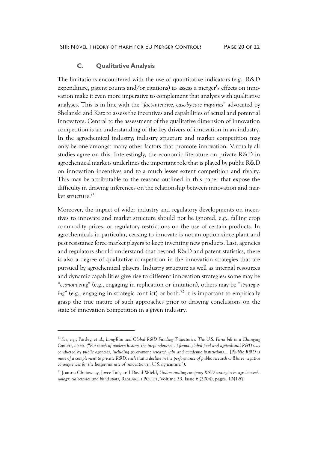### C. Qualitative Analysis

The limitations encountered with the use of quantitative indicators (e.g., R&D expenditure, patent counts and/or citations) to assess a merger's effects on innovation make it even more imperative to complement that analysis with qualitative analyses. This is in line with the "fact-intensive, case-by-case inquiries" advocated by Shelanski and Katz to assess the incentives and capabilities of actual and potential innovators. Central to the assessment of the qualitative dimension of innovation competition is an understanding of the key drivers of innovation in an industry. In the agrochemical industry, industry structure and market competition may only be one amongst many other factors that promote innovation. Virtually all studies agree on this. Interestingly, the economic literature on private R&D in agrochemical markets underlines the important role that is played by public R&D on innovation incentives and to a much lesser extent competition and rivalry. This may be attributable to the reasons outlined in this paper that expose the difficulty in drawing inferences on the relationship between innovation and market structure.<sup>71</sup>

Moreover, the impact of wider industry and regulatory developments on incentives to innovate and market structure should not be ignored, e.g., falling crop commodity prices, or regulatory restrictions on the use of certain products. In agrochemicals in particular, ceasing to innovate is not an option since plant and pest resistance force market players to keep inventing new products. Last, agencies and regulators should understand that beyond R&D and patent statistics, there is also a degree of qualitative competition in the innovation strategies that are pursued by agrochemical players. Industry structure as well as internal resources and dynamic capabilities give rise to different innovation strategies: some may be "economizing" (e.g., engaging in replication or imitation), others may be "strategiz $ing''$  (e.g., engaging in strategic conflict) or both.<sup>72</sup> It is important to empirically grasp the true nature of such approaches prior to drawing conclusions on the state of innovation competition in a given industry.

 $71$  See, e.g., Pardey, et al., Long-Run and Global R&D Funding Trajectories: The U.S. Farm bill in a Changing Context, op cit. ("For much of modern history, the preponderance of formal global food and agricultural R&D was conducted by public agencies, including government research labs and academic institutions…. [P]ublic R&D is more of a complement to private R&D, such that a decline in the performance of public research will have negative consequences for the longer-run rate of innovation in U.S. agriculture.").

<sup>&</sup>lt;sup>72</sup> Joanna Chatawaay, Joyce Tait, and David Wield, Understanding company R&D strategies in agro-biotechnology: trajectories and blind spots, RESEARCH POLICY, Volume 33, Issue 6 (2004), pages. 1041-57.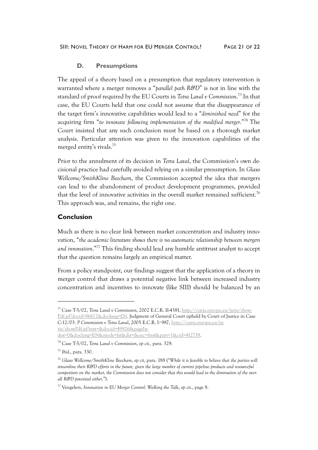#### D. Presumptions

The appeal of a theory based on a presumption that regulatory intervention is warranted where a merger removes a "parallel path R&D" is not in line with the standard of proof required by the EU Courts in Tetra Laval v Commission.<sup>73</sup> In that case, the EU Courts held that one could not assume that the disappearance of the target firm's innovative capabilities would lead to a "diminished need" for the acquiring firm "to innovate following implementation of the modified merger."<sup>74</sup> The Court insisted that any such conclusion must be based on a thorough market analysis. Particular attention was given to the innovation capabilities of the merged entity's rivals.<sup>75</sup>

Prior to the annulment of its decision in Tetra Laval, the Commission's own decisional practice had carefully avoided relying on a similar presumption. In Glaxo Wellcome/SmithKline Beecham, the Commission accepted the idea that mergers can lead to the abandonment of product development programmes, provided that the level of innovative activities in the overall market remained sufficient.<sup>76</sup> This approach was, and remains, the right one.

#### Conclusion

Much as there is no clear link between market concentration and industry innovation, "the academic literature shows there is no automatic relationship between mergers and innovation."<sup>77</sup> This finding should lead any humble antitrust analyst to accept that the question remains largely an empirical matter.

From a policy standpoint, our findings suggest that the application of a theory in merger control that draws a potential negative link between increased industry concentration and incentives to innovate (like SIII) should be balanced by an

<sup>&</sup>lt;sup>73</sup> Case T-5/02, Tetra Laval v Commission, 2002 E.C.R. II-4381, http://curia.europa.eu/juris/show-Pdf.jsf?docid=86672&doclang=EN. Judgment of General Court upheld by Court of Justice in Case C-12/03, P Commission v Tetra Laval, 2005 E.C.R. I‑987, http://curia.europa.eu/juris/showPdf.jsf?text=&docid=49926&pageIn-

dex=0&doclang=EN&mode=lst&dir=&occ=first&part=1&cid=412738.

<sup>74</sup> Case T-5/02, Tetra Laval v Commission, op cit., para. 329.

<sup>75</sup> Ibid., para. 330.

<sup>&</sup>lt;sup>76</sup> Glaxo Wellcome/SmithKline Beecham, op cit, para.  $188$  ("While it is feasible to believe that the parties will streamline their R&D efforts in the future, given the large number of current pipeline products and resourceful competitors on the market, the Commission does not consider that this would lead to the diminution of the overall R&D potential either.").

 $77$  Veugelers, Innovation in EU Merger Control: Walking the Talk, op cit., page 8.